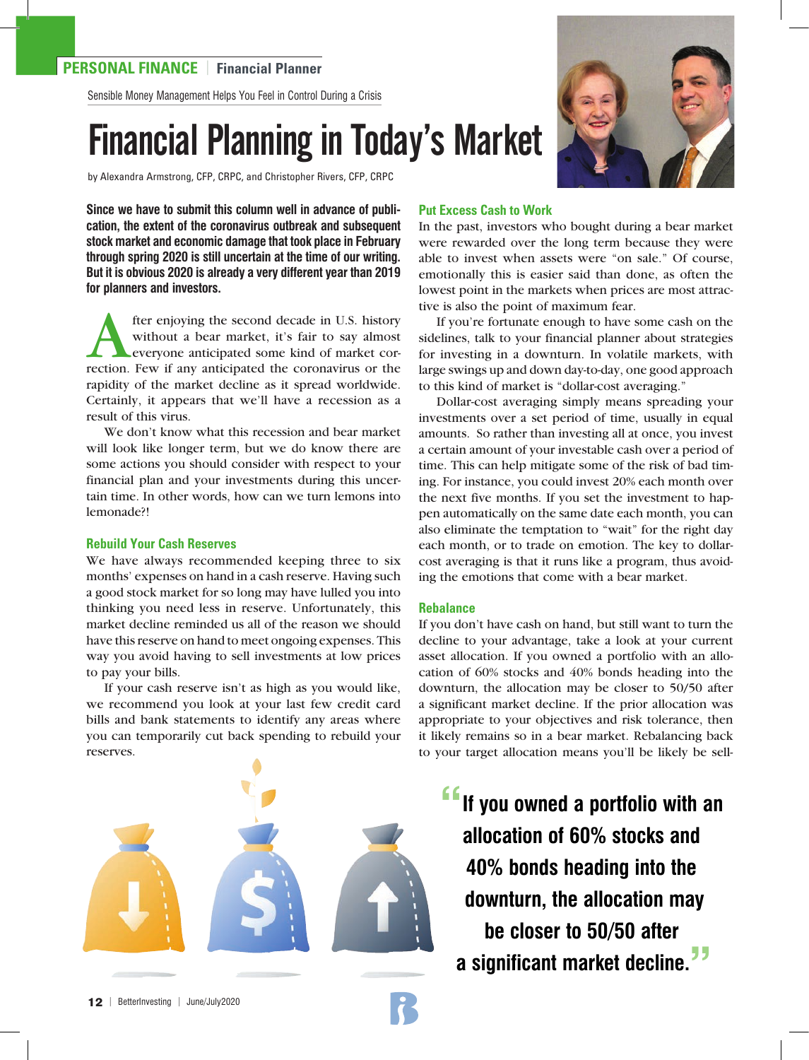Sensible Money Management Helps You Feel in Control During a Crisis

# Financial Planning in Today's Market

by Alexandra Armstrong, CFP, CRPC, and Christopher Rivers, CFP, CRPC

**Since we have to submit this column well in advance of publication, the extent of the coronavirus outbreak and subsequent stock market and economic damage that took place in February through spring 2020 is still uncertain at the time of our writing. But it is obvious 2020 is already a very different year than 2019 for planners and investors.**

fter enjoying the second decade in U.S. history without a bear market, it's fair to say almost **Leveryone anticipated some kind of market cor**rection. Few if any anticipated the coronavirus or the rapidity of the market decline as it spread worldwide. Certainly, it appears that we'll have a recession as a result of this virus.

We don't know what this recession and bear market will look like longer term, but we do know there are some actions you should consider with respect to your financial plan and your investments during this uncertain time. In other words, how can we turn lemons into lemonade?!

## **Rebuild Your Cash Reserves**

We have always recommended keeping three to six months' expenses on hand in a cash reserve. Having such a good stock market for so long may have lulled you into thinking you need less in reserve. Unfortunately, this market decline reminded us all of the reason we should have this reserve on hand to meet ongoing expenses. This way you avoid having to sell investments at low prices to pay your bills.

If your cash reserve isn't as high as you would like, we recommend you look at your last few credit card bills and bank statements to identify any areas where you can temporarily cut back spending to rebuild your reserves.





# **Put Excess Cash to Work**

In the past, investors who bought during a bear market were rewarded over the long term because they were able to invest when assets were "on sale." Of course, emotionally this is easier said than done, as often the lowest point in the markets when prices are most attractive is also the point of maximum fear.

If you're fortunate enough to have some cash on the sidelines, talk to your financial planner about strategies for investing in a downturn. In volatile markets, with large swings up and down day-to-day, one good approach to this kind of market is "dollar-cost averaging."

Dollar-cost averaging simply means spreading your investments over a set period of time, usually in equal amounts. So rather than investing all at once, you invest a certain amount of your investable cash over a period of time. This can help mitigate some of the risk of bad timing. For instance, you could invest 20% each month over the next five months. If you set the investment to happen automatically on the same date each month, you can also eliminate the temptation to "wait" for the right day each month, or to trade on emotion. The key to dollarcost averaging is that it runs like a program, thus avoiding the emotions that come with a bear market.

## **Rebalance**

If you don't have cash on hand, but still want to turn the decline to your advantage, take a look at your current asset allocation. If you owned a portfolio with an allocation of 60% stocks and 40% bonds heading into the downturn, the allocation may be closer to 50/50 after a significant market decline. If the prior allocation was appropriate to your objectives and risk tolerance, then it likely remains so in a bear market. Rebalancing back to your target allocation means you'll be likely be sell-

**"If you owned a portfolio with an allocation of 60% stocks and 40% bonds heading into the downturn, the allocation may be closer to 50/50 after a significant market decline."**